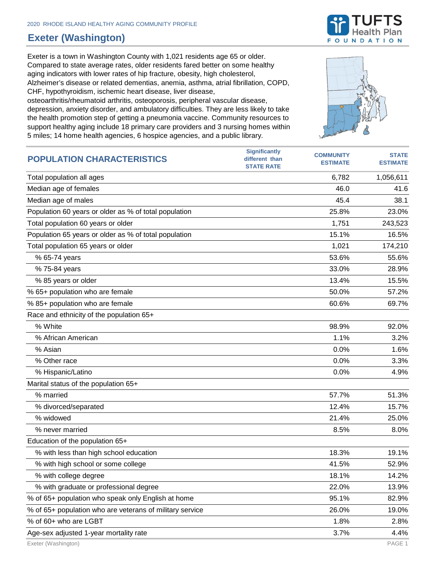## **Exeter (Washington)**

Exeter is a town in Washington County with 1,021 residents age 65 or older. Compared to state average rates, older residents fared better on some healthy aging indicators with lower rates of hip fracture, obesity, high cholesterol, Alzheimer's disease or related dementias, anemia, asthma, atrial fibrillation, COPD, CHF, hypothyroidism, ischemic heart disease, liver disease, osteoarthritis/rheumatoid arthritis, osteoporosis, peripheral vascular disease, depression, anxiety disorder, and ambulatory difficulties. They are less likely to take

the health promotion step of getting a pneumonia vaccine. Community resources to support healthy aging include 18 primary care providers and 3 nursing homes within 5 miles; 14 home health agencies, 6 hospice agencies, and a public library.



| <b>POPULATION CHARACTERISTICS</b>                        | <b>Significantly</b><br>different than<br><b>STATE RATE</b> | <b>COMMUNITY</b><br><b>ESTIMATE</b> | <b>STATE</b><br><b>ESTIMATE</b> |
|----------------------------------------------------------|-------------------------------------------------------------|-------------------------------------|---------------------------------|
| Total population all ages                                |                                                             | 6,782                               | 1,056,611                       |
| Median age of females                                    |                                                             | 46.0                                | 41.6                            |
| Median age of males                                      |                                                             | 45.4                                | 38.1                            |
| Population 60 years or older as % of total population    |                                                             | 25.8%                               | 23.0%                           |
| Total population 60 years or older                       |                                                             | 1,751                               | 243,523                         |
| Population 65 years or older as % of total population    |                                                             | 15.1%                               | 16.5%                           |
| Total population 65 years or older                       |                                                             | 1,021                               | 174,210                         |
| % 65-74 years                                            |                                                             | 53.6%                               | 55.6%                           |
| % 75-84 years                                            |                                                             | 33.0%                               | 28.9%                           |
| % 85 years or older                                      |                                                             | 13.4%                               | 15.5%                           |
| % 65+ population who are female                          |                                                             | 50.0%                               | 57.2%                           |
| % 85+ population who are female                          |                                                             | 60.6%                               | 69.7%                           |
| Race and ethnicity of the population 65+                 |                                                             |                                     |                                 |
| % White                                                  |                                                             | 98.9%                               | 92.0%                           |
| % African American                                       |                                                             | 1.1%                                | 3.2%                            |
| % Asian                                                  |                                                             | 0.0%                                | 1.6%                            |
| % Other race                                             |                                                             | 0.0%                                | 3.3%                            |
| % Hispanic/Latino                                        |                                                             | 0.0%                                | 4.9%                            |
| Marital status of the population 65+                     |                                                             |                                     |                                 |
| % married                                                |                                                             | 57.7%                               | 51.3%                           |
| % divorced/separated                                     |                                                             | 12.4%                               | 15.7%                           |
| % widowed                                                |                                                             | 21.4%                               | 25.0%                           |
| % never married                                          |                                                             | 8.5%                                | 8.0%                            |
| Education of the population 65+                          |                                                             |                                     |                                 |
| % with less than high school education                   |                                                             | 18.3%                               | 19.1%                           |
| % with high school or some college                       |                                                             | 41.5%                               | 52.9%                           |
| % with college degree                                    |                                                             | 18.1%                               | 14.2%                           |
| % with graduate or professional degree                   |                                                             | 22.0%                               | 13.9%                           |
| % of 65+ population who speak only English at home       |                                                             | 95.1%                               | 82.9%                           |
| % of 65+ population who are veterans of military service |                                                             | 26.0%                               | 19.0%                           |
| % of 60+ who are LGBT                                    |                                                             | 1.8%                                | 2.8%                            |
| Age-sex adjusted 1-year mortality rate                   |                                                             | 3.7%                                | 4.4%                            |

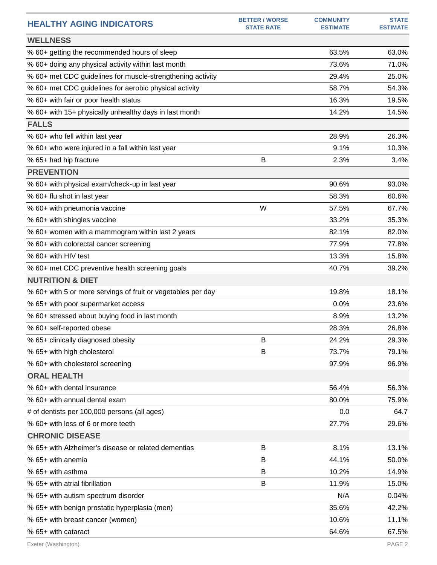| <b>HEALTHY AGING INDICATORS</b>                              | <b>BETTER / WORSE</b><br><b>STATE RATE</b> | <b>COMMUNITY</b><br><b>ESTIMATE</b> | <b>STATE</b><br><b>ESTIMATE</b> |
|--------------------------------------------------------------|--------------------------------------------|-------------------------------------|---------------------------------|
| <b>WELLNESS</b>                                              |                                            |                                     |                                 |
| % 60+ getting the recommended hours of sleep                 |                                            | 63.5%                               | 63.0%                           |
| % 60+ doing any physical activity within last month          |                                            | 73.6%                               | 71.0%                           |
| % 60+ met CDC guidelines for muscle-strengthening activity   |                                            | 29.4%                               | 25.0%                           |
| % 60+ met CDC guidelines for aerobic physical activity       |                                            | 58.7%                               | 54.3%                           |
| % 60+ with fair or poor health status                        |                                            | 16.3%                               | 19.5%                           |
| % 60+ with 15+ physically unhealthy days in last month       |                                            | 14.2%                               | 14.5%                           |
| <b>FALLS</b>                                                 |                                            |                                     |                                 |
| % 60+ who fell within last year                              |                                            | 28.9%                               | 26.3%                           |
| % 60+ who were injured in a fall within last year            |                                            | 9.1%                                | 10.3%                           |
| % 65+ had hip fracture                                       | B                                          | 2.3%                                | 3.4%                            |
| <b>PREVENTION</b>                                            |                                            |                                     |                                 |
| % 60+ with physical exam/check-up in last year               |                                            | 90.6%                               | 93.0%                           |
| % 60+ flu shot in last year                                  |                                            | 58.3%                               | 60.6%                           |
| % 60+ with pneumonia vaccine                                 | W                                          | 57.5%                               | 67.7%                           |
| % 60+ with shingles vaccine                                  |                                            | 33.2%                               | 35.3%                           |
| % 60+ women with a mammogram within last 2 years             |                                            | 82.1%                               | 82.0%                           |
| % 60+ with colorectal cancer screening                       |                                            | 77.9%                               | 77.8%                           |
| % 60+ with HIV test                                          |                                            | 13.3%                               | 15.8%                           |
| % 60+ met CDC preventive health screening goals              |                                            | 40.7%                               | 39.2%                           |
| <b>NUTRITION &amp; DIET</b>                                  |                                            |                                     |                                 |
| % 60+ with 5 or more servings of fruit or vegetables per day |                                            | 19.8%                               | 18.1%                           |
| % 65+ with poor supermarket access                           |                                            | 0.0%                                | 23.6%                           |
| % 60+ stressed about buying food in last month               |                                            | 8.9%                                | 13.2%                           |
| % 60+ self-reported obese                                    |                                            | 28.3%                               | 26.8%                           |
| % 65+ clinically diagnosed obesity                           | В                                          | 24.2%                               | 29.3%                           |
| % 65+ with high cholesterol                                  | B                                          | 73.7%                               | 79.1%                           |
| % 60+ with cholesterol screening                             |                                            | 97.9%                               | 96.9%                           |
| <b>ORAL HEALTH</b>                                           |                                            |                                     |                                 |
| % 60+ with dental insurance                                  |                                            | 56.4%                               | 56.3%                           |
| % 60+ with annual dental exam                                |                                            | 80.0%                               | 75.9%                           |
| # of dentists per 100,000 persons (all ages)                 |                                            | 0.0                                 | 64.7                            |
| % 60+ with loss of 6 or more teeth                           |                                            | 27.7%                               | 29.6%                           |
| <b>CHRONIC DISEASE</b>                                       |                                            |                                     |                                 |
| % 65+ with Alzheimer's disease or related dementias          | B                                          | 8.1%                                | 13.1%                           |
| % 65+ with anemia                                            | В                                          | 44.1%                               | 50.0%                           |
| % 65+ with asthma                                            | B                                          | 10.2%                               | 14.9%                           |
| % 65+ with atrial fibrillation                               | B                                          | 11.9%                               | 15.0%                           |
| % 65+ with autism spectrum disorder                          |                                            | N/A                                 | 0.04%                           |
| % 65+ with benign prostatic hyperplasia (men)                |                                            | 35.6%                               | 42.2%                           |
| % 65+ with breast cancer (women)                             |                                            | 10.6%                               | 11.1%                           |
| % 65+ with cataract                                          |                                            | 64.6%                               | 67.5%                           |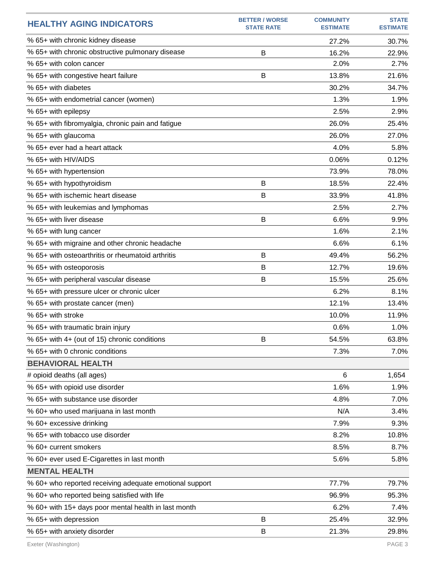| <b>HEALTHY AGING INDICATORS</b>                         | <b>BETTER / WORSE</b><br><b>STATE RATE</b> | <b>COMMUNITY</b><br><b>ESTIMATE</b> | <b>STATE</b><br><b>ESTIMATE</b> |
|---------------------------------------------------------|--------------------------------------------|-------------------------------------|---------------------------------|
| % 65+ with chronic kidney disease                       |                                            | 27.2%                               | 30.7%                           |
| % 65+ with chronic obstructive pulmonary disease        | В                                          | 16.2%                               | 22.9%                           |
| % 65+ with colon cancer                                 |                                            | 2.0%                                | 2.7%                            |
| % 65+ with congestive heart failure                     | B                                          | 13.8%                               | 21.6%                           |
| % 65+ with diabetes                                     |                                            | 30.2%                               | 34.7%                           |
| % 65+ with endometrial cancer (women)                   |                                            | 1.3%                                | 1.9%                            |
| % 65+ with epilepsy                                     |                                            | 2.5%                                | 2.9%                            |
| % 65+ with fibromyalgia, chronic pain and fatigue       |                                            | 26.0%                               | 25.4%                           |
| % 65+ with glaucoma                                     |                                            | 26.0%                               | 27.0%                           |
| % 65+ ever had a heart attack                           |                                            | 4.0%                                | 5.8%                            |
| % 65+ with HIV/AIDS                                     |                                            | 0.06%                               | 0.12%                           |
| % 65+ with hypertension                                 |                                            | 73.9%                               | 78.0%                           |
| % 65+ with hypothyroidism                               | B                                          | 18.5%                               | 22.4%                           |
| % 65+ with ischemic heart disease                       | B                                          | 33.9%                               | 41.8%                           |
| % 65+ with leukemias and lymphomas                      |                                            | 2.5%                                | 2.7%                            |
| % 65+ with liver disease                                | B                                          | 6.6%                                | 9.9%                            |
| % 65+ with lung cancer                                  |                                            | 1.6%                                | 2.1%                            |
| % 65+ with migraine and other chronic headache          |                                            | 6.6%                                | 6.1%                            |
| % 65+ with osteoarthritis or rheumatoid arthritis       | B                                          | 49.4%                               | 56.2%                           |
| % 65+ with osteoporosis                                 | B                                          | 12.7%                               | 19.6%                           |
| % 65+ with peripheral vascular disease                  | B                                          | 15.5%                               | 25.6%                           |
| % 65+ with pressure ulcer or chronic ulcer              |                                            | 6.2%                                | 8.1%                            |
| % 65+ with prostate cancer (men)                        |                                            | 12.1%                               | 13.4%                           |
| % 65+ with stroke                                       |                                            | 10.0%                               | 11.9%                           |
| % 65+ with traumatic brain injury                       |                                            | 0.6%                                | 1.0%                            |
| % 65+ with 4+ (out of 15) chronic conditions            | B                                          | 54.5%                               | 63.8%                           |
| % 65+ with 0 chronic conditions                         |                                            | 7.3%                                | 7.0%                            |
| <b>BEHAVIORAL HEALTH</b>                                |                                            |                                     |                                 |
| # opioid deaths (all ages)                              |                                            | 6                                   | 1,654                           |
| % 65+ with opioid use disorder                          |                                            | 1.6%                                | 1.9%                            |
| % 65+ with substance use disorder                       |                                            | 4.8%                                | 7.0%                            |
| % 60+ who used marijuana in last month                  |                                            | N/A                                 | 3.4%                            |
| % 60+ excessive drinking                                |                                            | 7.9%                                | 9.3%                            |
| % 65+ with tobacco use disorder                         |                                            | 8.2%                                | 10.8%                           |
| % 60+ current smokers                                   |                                            | 8.5%                                | 8.7%                            |
| % 60+ ever used E-Cigarettes in last month              |                                            | 5.6%                                | 5.8%                            |
| <b>MENTAL HEALTH</b>                                    |                                            |                                     |                                 |
| % 60+ who reported receiving adequate emotional support |                                            | 77.7%                               | 79.7%                           |
| % 60+ who reported being satisfied with life            |                                            | 96.9%                               | 95.3%                           |
| % 60+ with 15+ days poor mental health in last month    |                                            | 6.2%                                | 7.4%                            |
| % 65+ with depression                                   | B                                          | 25.4%                               | 32.9%                           |
| % 65+ with anxiety disorder                             | B                                          | 21.3%                               | 29.8%                           |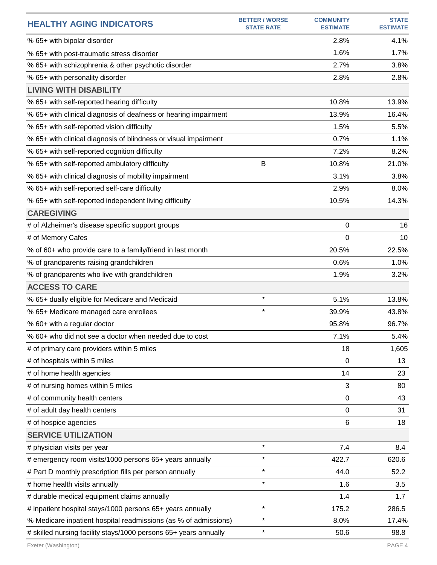| <b>HEALTHY AGING INDICATORS</b>                                  | <b>BETTER / WORSE</b><br><b>STATE RATE</b> | <b>COMMUNITY</b><br><b>ESTIMATE</b> | <b>STATE</b><br><b>ESTIMATE</b> |
|------------------------------------------------------------------|--------------------------------------------|-------------------------------------|---------------------------------|
| % 65+ with bipolar disorder                                      |                                            | 2.8%                                | 4.1%                            |
| % 65+ with post-traumatic stress disorder                        |                                            | 1.6%                                | 1.7%                            |
| % 65+ with schizophrenia & other psychotic disorder              |                                            | 2.7%                                | 3.8%                            |
| % 65+ with personality disorder                                  |                                            | 2.8%                                | 2.8%                            |
| <b>LIVING WITH DISABILITY</b>                                    |                                            |                                     |                                 |
| % 65+ with self-reported hearing difficulty                      |                                            | 10.8%                               | 13.9%                           |
| % 65+ with clinical diagnosis of deafness or hearing impairment  |                                            | 13.9%                               | 16.4%                           |
| % 65+ with self-reported vision difficulty                       |                                            | 1.5%                                | 5.5%                            |
| % 65+ with clinical diagnosis of blindness or visual impairment  |                                            | 0.7%                                | 1.1%                            |
| % 65+ with self-reported cognition difficulty                    |                                            | 7.2%                                | 8.2%                            |
| % 65+ with self-reported ambulatory difficulty                   | B                                          | 10.8%                               | 21.0%                           |
| % 65+ with clinical diagnosis of mobility impairment             |                                            | 3.1%                                | 3.8%                            |
| % 65+ with self-reported self-care difficulty                    |                                            | 2.9%                                | 8.0%                            |
| % 65+ with self-reported independent living difficulty           |                                            | 10.5%                               | 14.3%                           |
| <b>CAREGIVING</b>                                                |                                            |                                     |                                 |
| # of Alzheimer's disease specific support groups                 |                                            | 0                                   | 16                              |
| # of Memory Cafes                                                |                                            | 0                                   | 10                              |
| % of 60+ who provide care to a family/friend in last month       |                                            | 20.5%                               | 22.5%                           |
| % of grandparents raising grandchildren                          |                                            | 0.6%                                | 1.0%                            |
| % of grandparents who live with grandchildren                    |                                            | 1.9%                                | 3.2%                            |
| <b>ACCESS TO CARE</b>                                            |                                            |                                     |                                 |
| % 65+ dually eligible for Medicare and Medicaid                  | $\star$                                    | 5.1%                                | 13.8%                           |
| % 65+ Medicare managed care enrollees                            | $\star$                                    | 39.9%                               | 43.8%                           |
| % 60+ with a regular doctor                                      |                                            | 95.8%                               | 96.7%                           |
| % 60+ who did not see a doctor when needed due to cost           |                                            | 7.1%                                | 5.4%                            |
| # of primary care providers within 5 miles                       |                                            | 18                                  | 1,605                           |
| # of hospitals within 5 miles                                    |                                            | 0                                   | 13                              |
| # of home health agencies                                        |                                            | 14                                  | 23                              |
| # of nursing homes within 5 miles                                |                                            | 3                                   | 80                              |
| # of community health centers                                    |                                            | $\mathbf 0$                         | 43                              |
| # of adult day health centers                                    |                                            | 0                                   | 31                              |
| # of hospice agencies                                            |                                            | 6                                   | 18                              |
| <b>SERVICE UTILIZATION</b>                                       |                                            |                                     |                                 |
| # physician visits per year                                      | $\star$                                    | 7.4                                 | 8.4                             |
| # emergency room visits/1000 persons 65+ years annually          | $\star$                                    | 422.7                               | 620.6                           |
| # Part D monthly prescription fills per person annually          | $\star$                                    | 44.0                                | 52.2                            |
| # home health visits annually                                    | $\star$                                    | 1.6                                 | 3.5                             |
| # durable medical equipment claims annually                      |                                            | 1.4                                 | 1.7                             |
| # inpatient hospital stays/1000 persons 65+ years annually       | $\star$                                    | 175.2                               | 286.5                           |
| % Medicare inpatient hospital readmissions (as % of admissions)  | $\star$                                    | 8.0%                                | 17.4%                           |
| # skilled nursing facility stays/1000 persons 65+ years annually | $\star$                                    | 50.6                                | 98.8                            |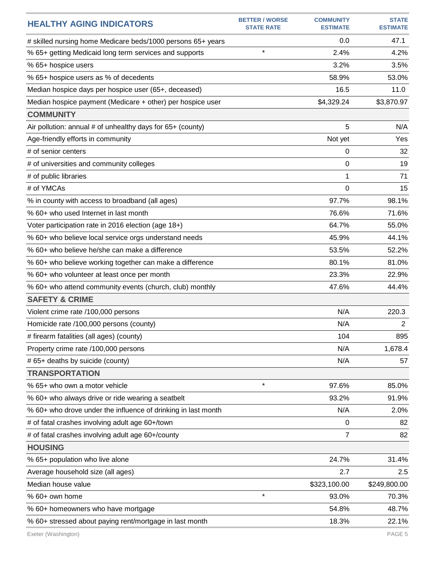| <b>HEALTHY AGING INDICATORS</b>                               | <b>BETTER / WORSE</b><br><b>STATE RATE</b> | <b>COMMUNITY</b><br><b>ESTIMATE</b> | <b>STATE</b><br><b>ESTIMATE</b> |
|---------------------------------------------------------------|--------------------------------------------|-------------------------------------|---------------------------------|
| # skilled nursing home Medicare beds/1000 persons 65+ years   |                                            | 0.0                                 | 47.1                            |
| % 65+ getting Medicaid long term services and supports        | $\star$                                    | 2.4%                                | 4.2%                            |
| % 65+ hospice users                                           |                                            | 3.2%                                | 3.5%                            |
| % 65+ hospice users as % of decedents                         |                                            | 58.9%                               | 53.0%                           |
| Median hospice days per hospice user (65+, deceased)          |                                            | 16.5                                | 11.0                            |
| Median hospice payment (Medicare + other) per hospice user    |                                            | \$4,329.24                          | \$3,870.97                      |
| <b>COMMUNITY</b>                                              |                                            |                                     |                                 |
| Air pollution: annual # of unhealthy days for 65+ (county)    |                                            | 5                                   | N/A                             |
| Age-friendly efforts in community                             |                                            | Not yet                             | Yes                             |
| # of senior centers                                           |                                            | 0                                   | 32                              |
| # of universities and community colleges                      |                                            | 0                                   | 19                              |
| # of public libraries                                         |                                            | 1                                   | 71                              |
| # of YMCAs                                                    |                                            | $\Omega$                            | 15                              |
| % in county with access to broadband (all ages)               |                                            | 97.7%                               | 98.1%                           |
| % 60+ who used Internet in last month                         |                                            | 76.6%                               | 71.6%                           |
| Voter participation rate in 2016 election (age 18+)           |                                            | 64.7%                               | 55.0%                           |
| % 60+ who believe local service orgs understand needs         |                                            | 45.9%                               | 44.1%                           |
| % 60+ who believe he/she can make a difference                |                                            | 53.5%                               | 52.2%                           |
| % 60+ who believe working together can make a difference      |                                            | 80.1%                               | 81.0%                           |
| % 60+ who volunteer at least once per month                   |                                            | 23.3%                               | 22.9%                           |
| % 60+ who attend community events (church, club) monthly      |                                            | 47.6%                               | 44.4%                           |
| <b>SAFETY &amp; CRIME</b>                                     |                                            |                                     |                                 |
| Violent crime rate /100,000 persons                           |                                            | N/A                                 | 220.3                           |
| Homicide rate /100,000 persons (county)                       |                                            | N/A                                 | $\overline{2}$                  |
| # firearm fatalities (all ages) (county)                      |                                            | 104                                 | 895                             |
| Property crime rate /100,000 persons                          |                                            | N/A                                 | 1,678.4                         |
| # 65+ deaths by suicide (county)                              |                                            | N/A                                 | 57                              |
| <b>TRANSPORTATION</b>                                         |                                            |                                     |                                 |
| % 65+ who own a motor vehicle                                 | $\star$                                    | 97.6%                               | 85.0%                           |
| % 60+ who always drive or ride wearing a seatbelt             |                                            | 93.2%                               | 91.9%                           |
| % 60+ who drove under the influence of drinking in last month |                                            | N/A                                 | 2.0%                            |
| # of fatal crashes involving adult age 60+/town               |                                            | 0                                   | 82                              |
| # of fatal crashes involving adult age 60+/county             |                                            | 7                                   | 82                              |
| <b>HOUSING</b>                                                |                                            |                                     |                                 |
| % 65+ population who live alone                               |                                            | 24.7%                               | 31.4%                           |
| Average household size (all ages)                             |                                            | 2.7                                 | 2.5                             |
| Median house value                                            |                                            | \$323,100.00                        | \$249,800.00                    |
| % 60+ own home                                                | $\star$                                    | 93.0%                               | 70.3%                           |
| % 60+ homeowners who have mortgage                            |                                            | 54.8%                               | 48.7%                           |
| % 60+ stressed about paying rent/mortgage in last month       |                                            | 18.3%                               | 22.1%                           |